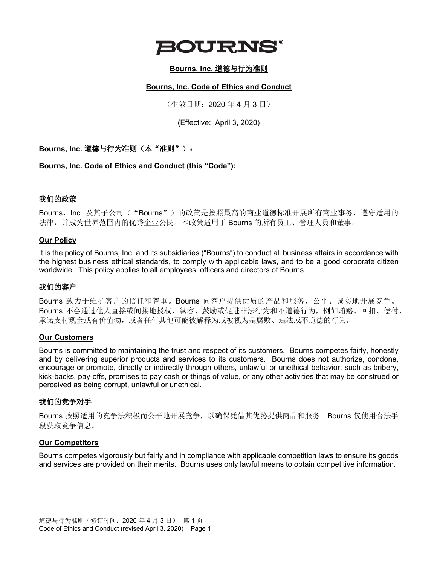

## **Bourns, Inc.** 道德与行为准则

#### **Bourns, Inc. Code of Ethics and Conduct**

(生效日期:2020 年 4 月 3 日)

(Effective: April 3, 2020)

**Bourns, Inc.** 道德与行为准则(本"准则"):

**Bourns, Inc. Code of Ethics and Conduct (this "Code"):**

#### 我们的政策

Bourns, Inc. 及其子公司("Bourns")的政策是按照最高的商业道德标准开展所有商业事务, 遵守适用的 法律,并成为世界范围内的优秀企业公民。本政策适用于 Bourns 的所有员工、管理人员和董事。

#### **Our Policy**

It is the policy of Bourns, Inc. and its subsidiaries ("Bourns") to conduct all business affairs in accordance with the highest business ethical standards, to comply with applicable laws, and to be a good corporate citizen worldwide. This policy applies to all employees, officers and directors of Bourns.

#### 我们的客户

Bourns 致力于维护客户的信任和尊重。Bourns 向客户提供优质的产品和服务,公平、诚实地开展竞争。 Bourns 不会通过他人直接或间接地授权、纵容、鼓励或促进非法行为和不道德行为,例如贿赂、回扣、偿付、 承诺支付现金或有价值物,或者任何其他可能被解释为或被视为是腐败、违法或不道德的行为。

#### **Our Customers**

Bourns is committed to maintaining the trust and respect of its customers. Bourns competes fairly, honestly and by delivering superior products and services to its customers. Bourns does not authorize, condone, encourage or promote, directly or indirectly through others, unlawful or unethical behavior, such as bribery, kick-backs, pay-offs, promises to pay cash or things of value, or any other activities that may be construed or perceived as being corrupt, unlawful or unethical.

#### 我们的竞争对手

Bourns 按照适用的竞争法积极而公平地开展竞争,以确保凭借其优势提供商品和服务。Bourns 仅使用合法手 段获取竞争信息。

#### **Our Competitors**

Bourns competes vigorously but fairly and in compliance with applicable competition laws to ensure its goods and services are provided on their merits. Bourns uses only lawful means to obtain competitive information.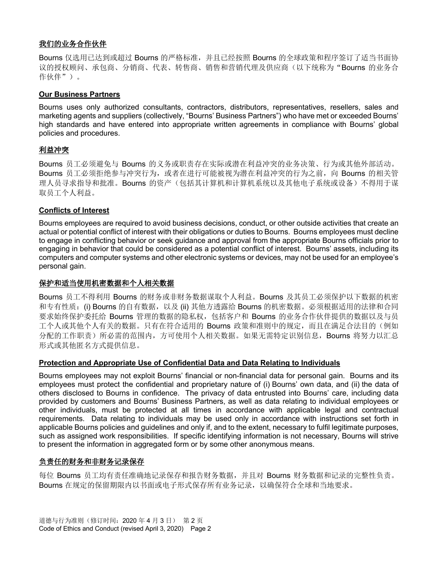# 我们的业务合作伙伴

Bourns 仅选用已达到或超过 Bourns 的严格标准, 并且已经按照 Bourns 的全球政策和程序签订了适当书面协 议的授权顾问、承包商、分销商、代表、转售商、销售和营销代理及供应商(以下统称为"Bourns 的业务合 作伙伴")。

#### **Our Business Partners**

Bourns uses only authorized consultants, contractors, distributors, representatives, resellers, sales and marketing agents and suppliers (collectively, "Bourns' Business Partners") who have met or exceeded Bourns' high standards and have entered into appropriate written agreements in compliance with Bourns' global policies and procedures.

## 利益冲突

Bourns 员工必须避免与 Bourns 的义务或职责存在实际或潜在利益冲突的业务决策、行为或其他外部活动。 Bourns 员工必须拒绝参与冲突行为, 或者在进行可能被视为潜在利益冲突的行为之前, 向 Bourns 的相关管 理人员寻求指导和批准。Bourns 的资产(包括其计算机和计算机系统以及其他电子系统或设备)不得用于谋 取员工个人利益。

## **Conflicts of Interest**

Bourns employees are required to avoid business decisions, conduct, or other outside activities that create an actual or potential conflict of interest with their obligations or duties to Bourns. Bourns employees must decline to engage in conflicting behavior or seek guidance and approval from the appropriate Bourns officials prior to engaging in behavior that could be considered as a potential conflict of interest. Bourns' assets, including its computers and computer systems and other electronic systems or devices, may not be used for an employee's personal gain.

## 保护和适当使用机密数据和个人相关数据

Bourns 员工不得利用 Bourns 的财务或非财务数据谋取个人利益。Bourns 及其员工必须保护以下数据的机密 和专有性质: (i) Bourns 的自有数据, 以及 (ii) 其他方透露给 Bourns 的机密数据。必须根据适用的法律和合同 要求始终保护委托给 Bourns 管理的数据的隐私权, 包括客户和 Bourns 的业务合作伙伴提供的数据以及与员 工个人或其他个人有关的数据。只有在符合适用的 Bourns 政策和准则中的规定,而且在满足合法目的(例如 分配的工作职责)所必需的范围内,方可使用个人相关数据。如果无需特定识别信息,Bourns 将努力以汇总 形式或其他匿名方式提供信息。

#### **Protection and Appropriate Use of Confidential Data and Data Relating to Individuals**

Bourns employees may not exploit Bourns' financial or non-financial data for personal gain. Bourns and its employees must protect the confidential and proprietary nature of (i) Bourns' own data, and (ii) the data of others disclosed to Bourns in confidence. The privacy of data entrusted into Bourns' care, including data provided by customers and Bourns' Business Partners, as well as data relating to individual employees or other individuals, must be protected at all times in accordance with applicable legal and contractual requirements. Data relating to individuals may be used only in accordance with instructions set forth in applicable Bourns policies and guidelines and only if, and to the extent, necessary to fulfil legitimate purposes, such as assigned work responsibilities. If specific identifying information is not necessary, Bourns will strive to present the information in aggregated form or by some other anonymous means.

## 负责任的财务和非财务记录保存

每位 Bourns 员工均有责任准确地记录保存和报告财务数据,并且对 Bourns 财务数据和记录的完整性负责。 Bourns 在规定的保留期限内以书面或电子形式保存所有业务记录,以确保符合全球和当地要求。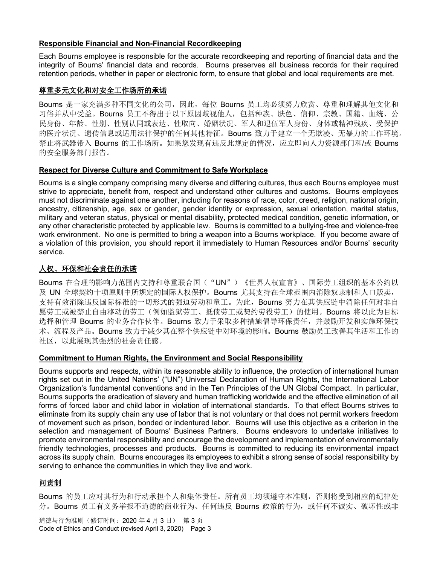## **Responsible Financial and Non-Financial Recordkeeping**

Each Bourns employee is responsible for the accurate recordkeeping and reporting of financial data and the integrity of Bourns' financial data and records. Bourns preserves all business records for their required retention periods, whether in paper or electronic form, to ensure that global and local requirements are met.

#### 尊重多元文化和对安全工作场所的承诺

Bourns 是一家充满多种不同文化的公司,因此,每位 Bourns 员工均必须努力欣赏、尊重和理解其他文化和 习俗并从中受益。Bourns 员工不得出于以下原因歧视他人,包括种族、肤色、信仰、宗教、国籍、血统、公 民身份、年龄、性别、性别认同或表达、性取向、婚姻状况、军人和退伍军人身份、身体或精神残疾、受保护 的医疗状况、遗传信息或适用法律保护的任何其他特征。Bourns 致力于建立一个无欺凌、无暴力的工作环境。 禁止将武器带入 Bourns 的工作场所。如果您发现有违反此规定的情况,应立即向人力资源部门和/或 Bourns 的安全服务部门报告。

#### **Respect for Diverse Culture and Commitment to Safe Workplace**

Bourns is a single company comprising many diverse and differing cultures, thus each Bourns employee must strive to appreciate, benefit from, respect and understand other cultures and customs. Bourns employees must not discriminate against one another, including for reasons of race, color, creed, religion, national origin, ancestry, citizenship, age, sex or gender, gender identity or expression, sexual orientation, marital status, military and veteran status, physical or mental disability, protected medical condition, genetic information, or any other characteristic protected by applicable law. Bourns is committed to a bullying-free and violence-free work environment. No one is permitted to bring a weapon into a Bourns workplace. If you become aware of a violation of this provision, you should report it immediately to Human Resources and/or Bourns' security service.

## 人权、环保和社会责任的承诺

Bourns 在合理的影响力范围内支持和尊重联合国("UN")《世界人权宣言》、国际劳工组织的基本公约以 及 UN 全球契约十项原则中所规定的国际人权保护。Bourns 尤其支持在全球范围内消除奴隶制和人口贩卖, 支持有效消除违反国际标准的一切形式的强迫劳动和童工。为此, Bourns 努力在其供应链中消除任何对非自 愿劳工或被禁止自由移动的劳工(例如监狱劳工、抵债劳工或契约劳役劳工)的使用。Bourns 将以此为目标 选择和管理 Bourns 的业务合作伙伴。Bourns 致力于采取多种措施倡导环保责任,并鼓励开发和实施环保技 术、流程及产品。Bourns 致力于减少其在整个供应链中对环境的影响。Bourns 鼓励员工改善其生活和工作的 社区,以此展现其强烈的社会责任感。

#### **Commitment to Human Rights, the Environment and Social Responsibility**

Bourns supports and respects, within its reasonable ability to influence, the protection of international human rights set out in the United Nations' ("UN") Universal Declaration of Human Rights, the International Labor Organization's fundamental conventions and in the Ten Principles of the UN Global Compact. In particular, Bourns supports the eradication of slavery and human trafficking worldwide and the effective elimination of all forms of forced labor and child labor in violation of international standards. To that effect Bourns strives to eliminate from its supply chain any use of labor that is not voluntary or that does not permit workers freedom of movement such as prison, bonded or indentured labor. Bourns will use this objective as a criterion in the selection and management of Bourns' Business Partners. Bourns endeavors to undertake initiatives to promote environmental responsibility and encourage the development and implementation of environmentally friendly technologies, processes and products. Bourns is committed to reducing its environmental impact across its supply chain. Bourns encourages its employees to exhibit a strong sense of social responsibility by serving to enhance the communities in which they live and work.

# 问责制

Bourns 的员工应对其行为和行动承担个人和集体责任。所有员工均须遵守本准则,否则将受到相应的纪律处 分。Bourns 员工有义务举报不道德的商业行为、任何违反 Bourns 政策的行为,或任何不诚实、破坏性或非